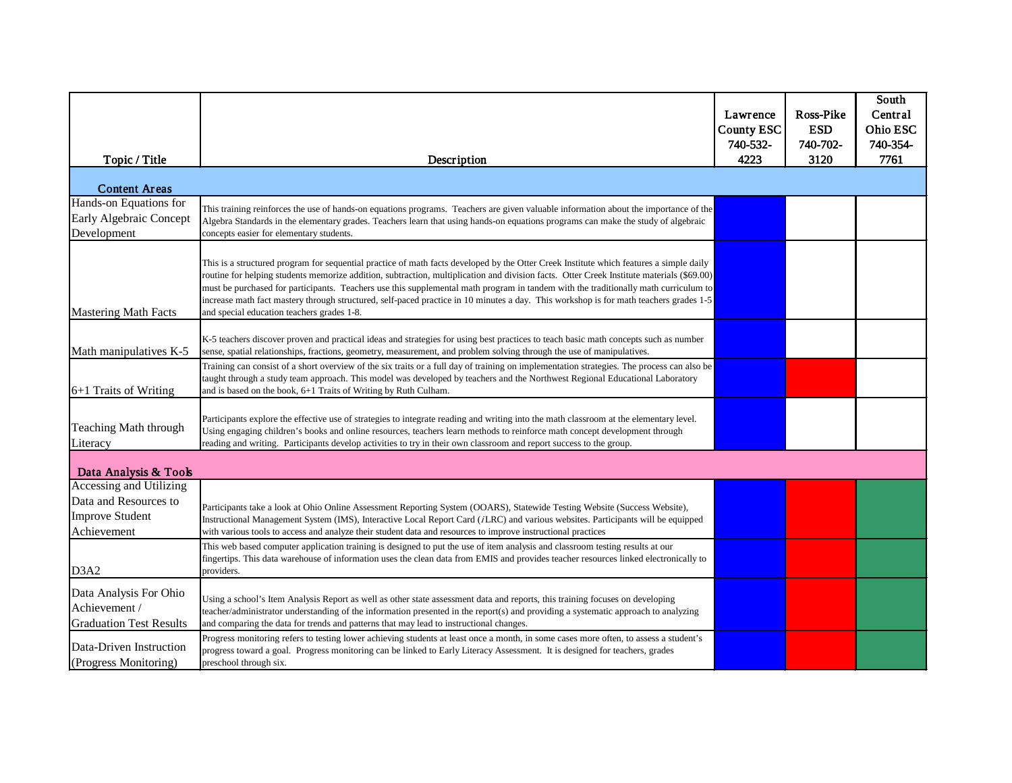| Topic / Title                                                                             | Description                                                                                                                                                                                                                                                                                                                                                                                                                                                                                                                                                                                                        | Lawrence<br><b>County ESC</b><br>740-532-<br>4223 | Ross-Pike<br><b>ESD</b><br>740-702-<br>3120 | South<br>Central<br>Ohio ESC<br>740-354-<br>7761 |
|-------------------------------------------------------------------------------------------|--------------------------------------------------------------------------------------------------------------------------------------------------------------------------------------------------------------------------------------------------------------------------------------------------------------------------------------------------------------------------------------------------------------------------------------------------------------------------------------------------------------------------------------------------------------------------------------------------------------------|---------------------------------------------------|---------------------------------------------|--------------------------------------------------|
|                                                                                           |                                                                                                                                                                                                                                                                                                                                                                                                                                                                                                                                                                                                                    |                                                   |                                             |                                                  |
| <b>Content Areas</b>                                                                      |                                                                                                                                                                                                                                                                                                                                                                                                                                                                                                                                                                                                                    |                                                   |                                             |                                                  |
| Hands-on Equations for<br>Early Algebraic Concept<br>Development                          | This training reinforces the use of hands-on equations programs. Teachers are given valuable information about the importance of the<br>Algebra Standards in the elementary grades. Teachers learn that using hands-on equations programs can make the study of algebraic<br>concepts easier for elementary students.                                                                                                                                                                                                                                                                                              |                                                   |                                             |                                                  |
| <b>Mastering Math Facts</b>                                                               | This is a structured program for sequential practice of math facts developed by the Otter Creek Institute which features a simple daily<br>routine for helping students memorize addition, subtraction, multiplication and division facts. Otter Creek Institute materials (\$69.00)<br>must be purchased for participants. Teachers use this supplemental math program in tandem with the traditionally math curriculum to<br>increase math fact mastery through structured, self-paced practice in 10 minutes a day. This workshop is for math teachers grades 1-5<br>and special education teachers grades 1-8. |                                                   |                                             |                                                  |
| Math manipulatives K-5                                                                    | K-5 teachers discover proven and practical ideas and strategies for using best practices to teach basic math concepts such as number<br>sense, spatial relationships, fractions, geometry, measurement, and problem solving through the use of manipulatives.                                                                                                                                                                                                                                                                                                                                                      |                                                   |                                             |                                                  |
| 6+1 Traits of Writing                                                                     | Training can consist of a short overview of the six traits or a full day of training on implementation strategies. The process can also be<br>taught through a study team approach. This model was developed by teachers and the Northwest Regional Educational Laboratory<br>and is based on the book, 6+1 Traits of Writing by Ruth Culham.                                                                                                                                                                                                                                                                      |                                                   |                                             |                                                  |
| Teaching Math through<br>Literacy                                                         | Participants explore the effective use of strategies to integrate reading and writing into the math classroom at the elementary level.<br>Using engaging children's books and online resources, teachers learn methods to reinforce math concept development through<br>reading and writing. Participants develop activities to try in their own classroom and report success to the group.                                                                                                                                                                                                                        |                                                   |                                             |                                                  |
| Data Analysis & Tools                                                                     |                                                                                                                                                                                                                                                                                                                                                                                                                                                                                                                                                                                                                    |                                                   |                                             |                                                  |
| Accessing and Utilizing<br>Data and Resources to<br><b>Improve Student</b><br>Achievement | Participants take a look at Ohio Online Assessment Reporting System (OOARS), Statewide Testing Website (Success Website),<br>Instructional Management System (IMS), Interactive Local Report Card ( <i>i</i> LRC) and various websites. Participants will be equipped<br>with various tools to access and analyze their student data and resources to improve instructional practices                                                                                                                                                                                                                              |                                                   |                                             |                                                  |
| D <sub>3</sub> A <sub>2</sub>                                                             | This web based computer application training is designed to put the use of item analysis and classroom testing results at our<br>fingertips. This data warehouse of information uses the clean data from EMIS and provides teacher resources linked electronically to<br>providers.                                                                                                                                                                                                                                                                                                                                |                                                   |                                             |                                                  |
| Data Analysis For Ohio<br>Achievement /<br><b>Graduation Test Results</b>                 | Using a school's Item Analysis Report as well as other state assessment data and reports, this training focuses on developing<br>teacher/administrator understanding of the information presented in the report(s) and providing a systematic approach to analyzing<br>and comparing the data for trends and patterns that may lead to instructional changes.                                                                                                                                                                                                                                                      |                                                   |                                             |                                                  |
| Data-Driven Instruction<br>(Progress Monitoring)                                          | Progress monitoring refers to testing lower achieving students at least once a month, in some cases more often, to assess a student's<br>progress toward a goal. Progress monitoring can be linked to Early Literacy Assessment. It is designed for teachers, grades<br>preschool through six.                                                                                                                                                                                                                                                                                                                     |                                                   |                                             |                                                  |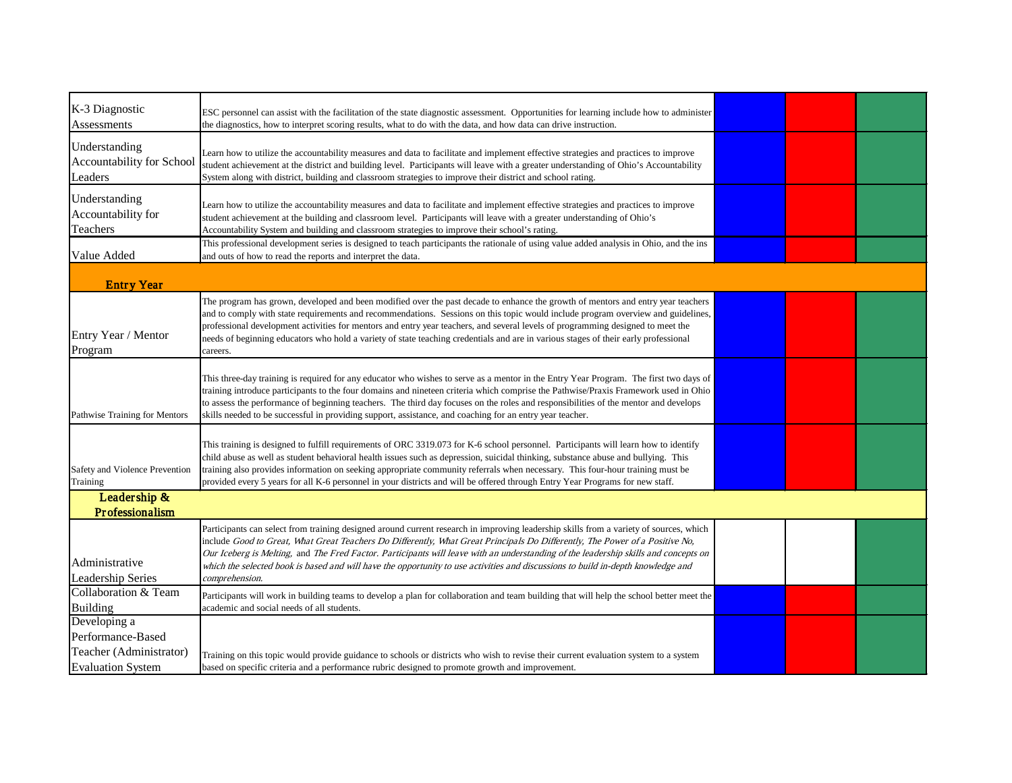| K-3 Diagnostic                                        | ESC personnel can assist with the facilitation of the state diagnostic assessment. Opportunities for learning include how to administer                                                                                                                                                                                                                                                                                                                                                                                                                             |  |  |
|-------------------------------------------------------|---------------------------------------------------------------------------------------------------------------------------------------------------------------------------------------------------------------------------------------------------------------------------------------------------------------------------------------------------------------------------------------------------------------------------------------------------------------------------------------------------------------------------------------------------------------------|--|--|
| Assessments                                           | the diagnostics, how to interpret scoring results, what to do with the data, and how data can drive instruction.                                                                                                                                                                                                                                                                                                                                                                                                                                                    |  |  |
| Understanding<br>Accountability for School<br>Leaders | Learn how to utilize the accountability measures and data to facilitate and implement effective strategies and practices to improve<br>student achievement at the district and building level. Participants will leave with a greater understanding of Ohio's Accountability<br>System along with district, building and classroom strategies to improve their district and school rating.                                                                                                                                                                          |  |  |
| Understanding<br>Accountability for<br>Teachers       | Learn how to utilize the accountability measures and data to facilitate and implement effective strategies and practices to improve<br>student achievement at the building and classroom level. Participants will leave with a greater understanding of Ohio's<br>Accountability System and building and classroom strategies to improve their school's rating.                                                                                                                                                                                                     |  |  |
| Value Added                                           | This professional development series is designed to teach participants the rationale of using value added analysis in Ohio, and the ins<br>and outs of how to read the reports and interpret the data.                                                                                                                                                                                                                                                                                                                                                              |  |  |
| <b>Entry Year</b>                                     |                                                                                                                                                                                                                                                                                                                                                                                                                                                                                                                                                                     |  |  |
| Entry Year / Mentor<br>Program                        | The program has grown, developed and been modified over the past decade to enhance the growth of mentors and entry year teachers<br>and to comply with state requirements and recommendations. Sessions on this topic would include program overview and guidelines,<br>professional development activities for mentors and entry year teachers, and several levels of programming designed to meet the<br>needs of beginning educators who hold a variety of state teaching credentials and are in various stages of their early professional<br>careers.          |  |  |
| Pathwise Training for Mentors                         | This three-day training is required for any educator who wishes to serve as a mentor in the Entry Year Program. The first two days of<br>training introduce participants to the four domains and nineteen criteria which comprise the Pathwise/Praxis Framework used in Ohio<br>to assess the performance of beginning teachers. The third day focuses on the roles and responsibilities of the mentor and develops<br>skills needed to be successful in providing support, assistance, and coaching for an entry year teacher.                                     |  |  |
| Safety and Violence Prevention<br>Training            | This training is designed to fulfill requirements of ORC 3319.073 for K-6 school personnel. Participants will learn how to identify<br>child abuse as well as student behavioral health issues such as depression, suicidal thinking, substance abuse and bullying. This<br>training also provides information on seeking appropriate community referrals when necessary. This four-hour training must be<br>provided every 5 years for all K-6 personnel in your districts and will be offered through Entry Year Programs for new staff.                          |  |  |
| Leadership &                                          |                                                                                                                                                                                                                                                                                                                                                                                                                                                                                                                                                                     |  |  |
| Professionalism                                       |                                                                                                                                                                                                                                                                                                                                                                                                                                                                                                                                                                     |  |  |
| Administrative<br><b>Leadership Series</b>            | Participants can select from training designed around current research in improving leadership skills from a variety of sources, which<br>include Good to Great, What Great Teachers Do Differently, What Great Principals Do Differently, The Power of a Positive No,<br>Our Iceberg is Melting, and The Fred Factor. Participants will leave with an understanding of the leadership skills and concepts on<br>which the selected book is based and will have the opportunity to use activities and discussions to build in-depth knowledge and<br>comprehension. |  |  |
| Collaboration & Team<br><b>Building</b>               | Participants will work in building teams to develop a plan for collaboration and team building that will help the school better meet the                                                                                                                                                                                                                                                                                                                                                                                                                            |  |  |
| Developing a                                          | academic and social needs of all students.                                                                                                                                                                                                                                                                                                                                                                                                                                                                                                                          |  |  |
| Performance-Based                                     |                                                                                                                                                                                                                                                                                                                                                                                                                                                                                                                                                                     |  |  |
| Teacher (Administrator)                               |                                                                                                                                                                                                                                                                                                                                                                                                                                                                                                                                                                     |  |  |
| <b>Evaluation System</b>                              | Training on this topic would provide guidance to schools or districts who wish to revise their current evaluation system to a system<br>based on specific criteria and a performance rubric designed to promote growth and improvement.                                                                                                                                                                                                                                                                                                                             |  |  |
|                                                       |                                                                                                                                                                                                                                                                                                                                                                                                                                                                                                                                                                     |  |  |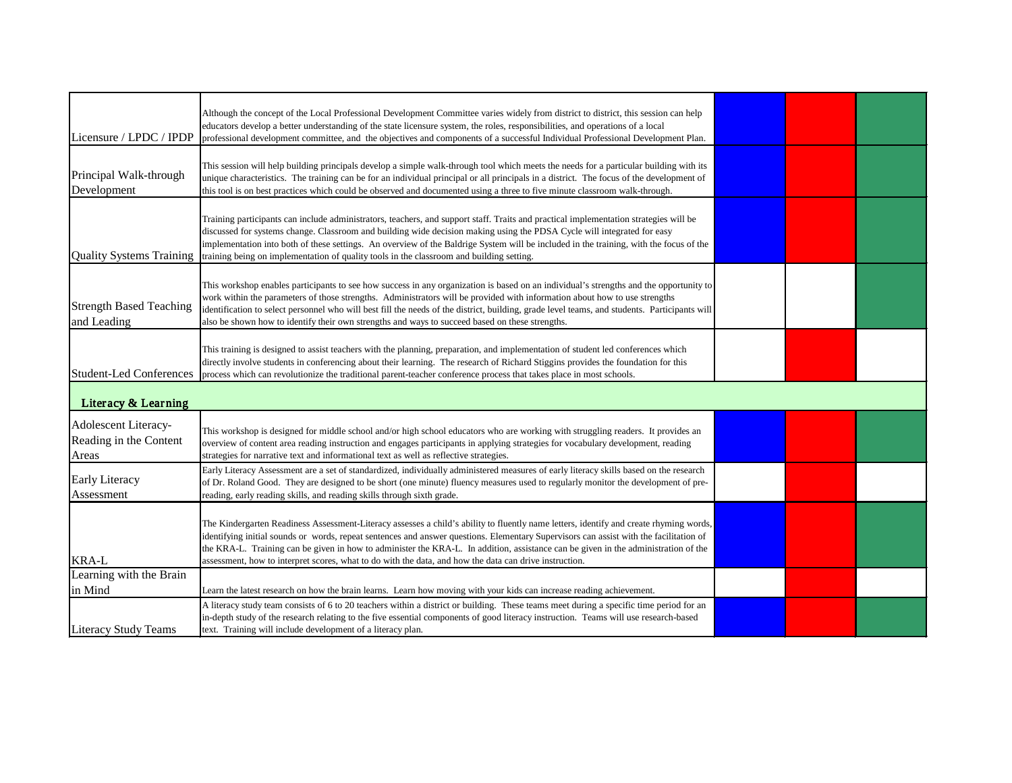| Licensure / LPDC / IPDP                                 | Although the concept of the Local Professional Development Committee varies widely from district to district, this session can help<br>educators develop a better understanding of the state licensure system, the roles, responsibilities, and operations of a local<br>professional development committee, and the objectives and components of a successful Individual Professional Development Plan.                                                                                                                         |  |  |
|---------------------------------------------------------|----------------------------------------------------------------------------------------------------------------------------------------------------------------------------------------------------------------------------------------------------------------------------------------------------------------------------------------------------------------------------------------------------------------------------------------------------------------------------------------------------------------------------------|--|--|
| Principal Walk-through<br>Development                   | This session will help building principals develop a simple walk-through tool which meets the needs for a particular building with its<br>unique characteristics. The training can be for an individual principal or all principals in a district. The focus of the development of<br>this tool is on best practices which could be observed and documented using a three to five minute classroom walk-through.                                                                                                                 |  |  |
| <b>Quality Systems Training</b>                         | Training participants can include administrators, teachers, and support staff. Traits and practical implementation strategies will be<br>discussed for systems change. Classroom and building wide decision making using the PDSA Cycle will integrated for easy<br>implementation into both of these settings. An overview of the Baldrige System will be included in the training, with the focus of the<br>training being on implementation of quality tools in the classroom and building setting.                           |  |  |
| <b>Strength Based Teaching</b><br>and Leading           | This workshop enables participants to see how success in any organization is based on an individual's strengths and the opportunity to<br>work within the parameters of those strengths. Administrators will be provided with information about how to use strengths<br>identification to select personnel who will best fill the needs of the district, building, grade level teams, and students. Participants will<br>also be shown how to identify their own strengths and ways to succeed based on these strengths.         |  |  |
| <b>Student-Led Conferences</b>                          | This training is designed to assist teachers with the planning, preparation, and implementation of student led conferences which<br>directly involve students in conferencing about their learning. The research of Richard Stiggins provides the foundation for this<br>process which can revolutionize the traditional parent-teacher conference process that takes place in most schools.                                                                                                                                     |  |  |
| Literacy & Learning                                     |                                                                                                                                                                                                                                                                                                                                                                                                                                                                                                                                  |  |  |
| Adolescent Literacy-<br>Reading in the Content<br>Areas | This workshop is designed for middle school and/or high school educators who are working with struggling readers. It provides an<br>overview of content area reading instruction and engages participants in applying strategies for vocabulary development, reading<br>strategies for narrative text and informational text as well as reflective strategies.                                                                                                                                                                   |  |  |
| <b>Early Literacy</b><br>Assessment                     | Early Literacy Assessment are a set of standardized, individually administered measures of early literacy skills based on the research<br>of Dr. Roland Good. They are designed to be short (one minute) fluency measures used to regularly monitor the development of pre-<br>reading, early reading skills, and reading skills through sixth grade.                                                                                                                                                                            |  |  |
| <b>KRA-L</b>                                            | The Kindergarten Readiness Assessment-Literacy assesses a child's ability to fluently name letters, identify and create rhyming words,<br>identifying initial sounds or words, repeat sentences and answer questions. Elementary Supervisors can assist with the facilitation of<br>the KRA-L. Training can be given in how to administer the KRA-L. In addition, assistance can be given in the administration of the<br>assessment, how to interpret scores, what to do with the data, and how the data can drive instruction. |  |  |
| Learning with the Brain                                 |                                                                                                                                                                                                                                                                                                                                                                                                                                                                                                                                  |  |  |
| in Mind                                                 | Learn the latest research on how the brain learns. Learn how moving with your kids can increase reading achievement.                                                                                                                                                                                                                                                                                                                                                                                                             |  |  |
| <b>Literacy Study Teams</b>                             | A literacy study team consists of 6 to 20 teachers within a district or building. These teams meet during a specific time period for an<br>in-depth study of the research relating to the five essential components of good literacy instruction. Teams will use research-based<br>text. Training will include development of a literacy plan.                                                                                                                                                                                   |  |  |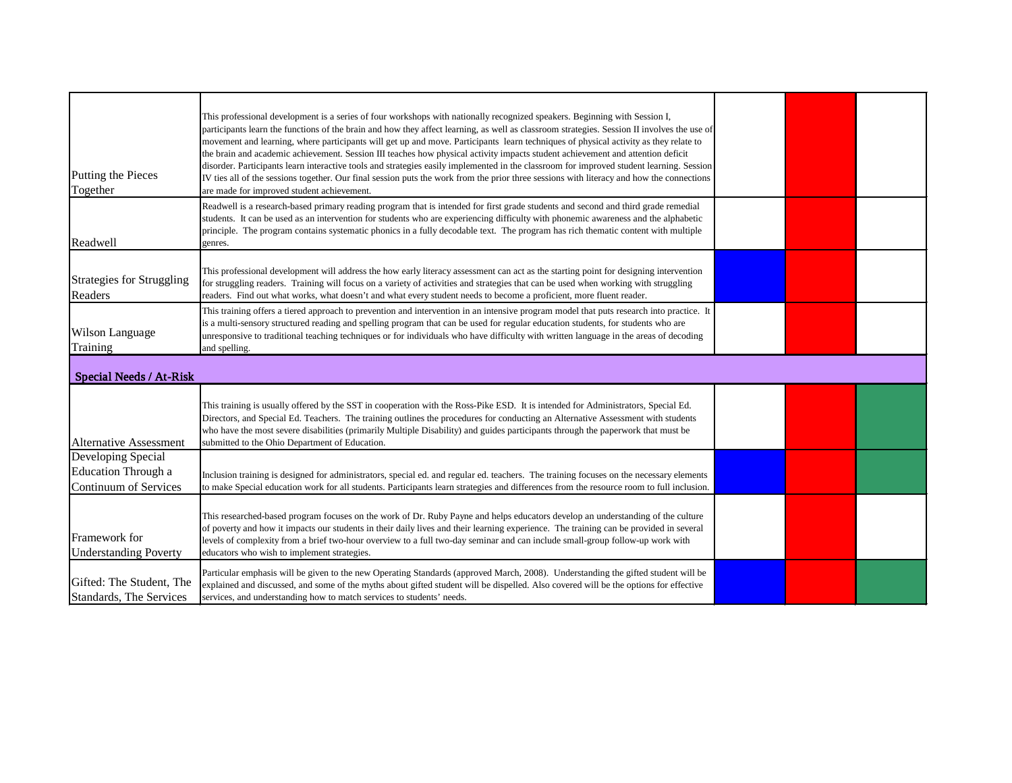| Putting the Pieces<br>Together                                                   | This professional development is a series of four workshops with nationally recognized speakers. Beginning with Session I,<br>participants learn the functions of the brain and how they affect learning, as well as classroom strategies. Session II involves the use of<br>movement and learning, where participants will get up and move. Participants learn techniques of physical activity as they relate to<br>the brain and academic achievement. Session III teaches how physical activity impacts student achievement and attention deficit<br>disorder. Participants learn interactive tools and strategies easily implemented in the classroom for improved student learning. Session<br>IV ties all of the sessions together. Our final session puts the work from the prior three sessions with literacy and how the connections<br>are made for improved student achievement. |  |  |
|----------------------------------------------------------------------------------|---------------------------------------------------------------------------------------------------------------------------------------------------------------------------------------------------------------------------------------------------------------------------------------------------------------------------------------------------------------------------------------------------------------------------------------------------------------------------------------------------------------------------------------------------------------------------------------------------------------------------------------------------------------------------------------------------------------------------------------------------------------------------------------------------------------------------------------------------------------------------------------------|--|--|
| <b>Readwell</b>                                                                  | Readwell is a research-based primary reading program that is intended for first grade students and second and third grade remedial<br>students. It can be used as an intervention for students who are experiencing difficulty with phonemic awareness and the alphabetic<br>principle. The program contains systematic phonics in a fully decodable text. The program has rich thematic content with multiple<br>genres.                                                                                                                                                                                                                                                                                                                                                                                                                                                                   |  |  |
| <b>Strategies for Struggling</b><br>Readers                                      | This professional development will address the how early literacy assessment can act as the starting point for designing intervention<br>for struggling readers. Training will focus on a variety of activities and strategies that can be used when working with struggling<br>readers. Find out what works, what doesn't and what every student needs to become a proficient, more fluent reader.                                                                                                                                                                                                                                                                                                                                                                                                                                                                                         |  |  |
| Wilson Language<br>Training                                                      | This training offers a tiered approach to prevention and intervention in an intensive program model that puts research into practice. It<br>is a multi-sensory structured reading and spelling program that can be used for regular education students, for students who are<br>unresponsive to traditional teaching techniques or for individuals who have difficulty with written language in the areas of decoding<br>and spelling.                                                                                                                                                                                                                                                                                                                                                                                                                                                      |  |  |
| Special Needs / At-Risk                                                          |                                                                                                                                                                                                                                                                                                                                                                                                                                                                                                                                                                                                                                                                                                                                                                                                                                                                                             |  |  |
| <b>Alternative Assessment</b>                                                    | This training is usually offered by the SST in cooperation with the Ross-Pike ESD. It is intended for Administrators, Special Ed.<br>Directors, and Special Ed. Teachers. The training outlines the procedures for conducting an Alternative Assessment with students<br>who have the most severe disabilities (primarily Multiple Disability) and guides participants through the paperwork that must be<br>submitted to the Ohio Department of Education.                                                                                                                                                                                                                                                                                                                                                                                                                                 |  |  |
| Developing Special<br><b>Education Through a</b><br><b>Continuum of Services</b> | Inclusion training is designed for administrators, special ed. and regular ed. teachers. The training focuses on the necessary elements<br>to make Special education work for all students. Participants learn strategies and differences from the resource room to full inclusion.                                                                                                                                                                                                                                                                                                                                                                                                                                                                                                                                                                                                         |  |  |
| Framework for<br><b>Understanding Poverty</b>                                    | This researched-based program focuses on the work of Dr. Ruby Payne and helps educators develop an understanding of the culture<br>of poverty and how it impacts our students in their daily lives and their learning experience. The training can be provided in several<br>levels of complexity from a brief two-hour overview to a full two-day seminar and can include small-group follow-up work with<br>educators who wish to implement strategies.                                                                                                                                                                                                                                                                                                                                                                                                                                   |  |  |
| Gifted: The Student, The<br>Standards, The Services                              | Particular emphasis will be given to the new Operating Standards (approved March, 2008). Understanding the gifted student will be<br>explained and discussed, and some of the myths about gifted student will be dispelled. Also covered will be the options for effective<br>services, and understanding how to match services to students' needs.                                                                                                                                                                                                                                                                                                                                                                                                                                                                                                                                         |  |  |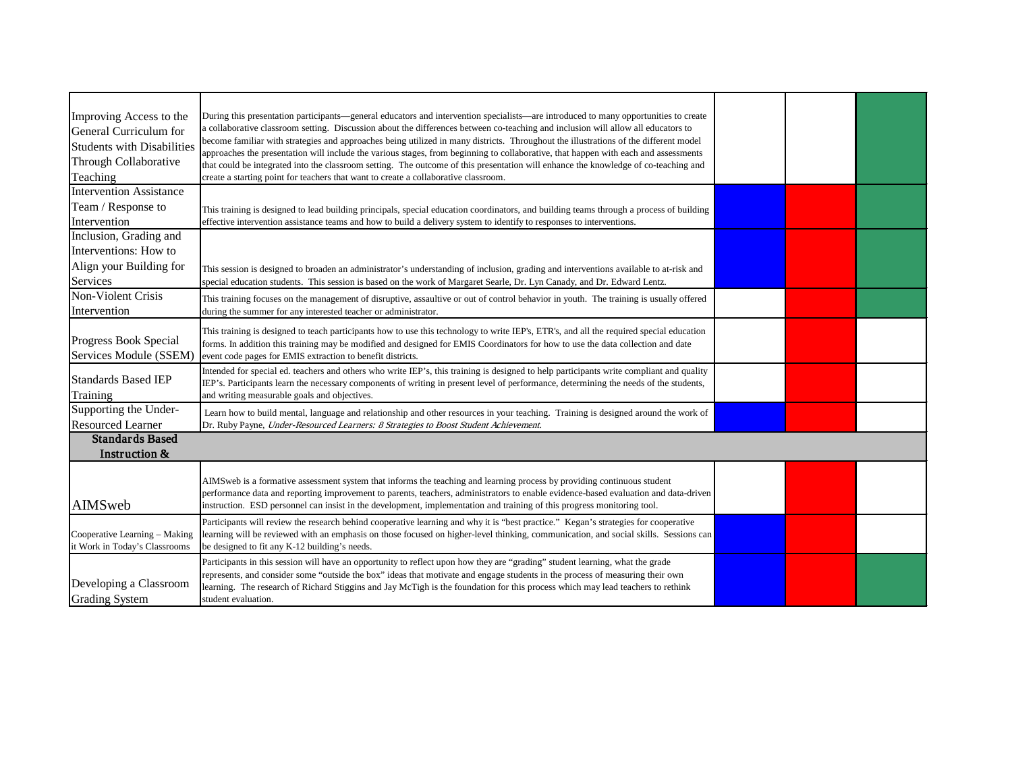| Improving Access to the<br>General Curriculum for<br><b>Students with Disabilities</b><br>Through Collaborative<br>Teaching | During this presentation participants—general educators and intervention specialists—are introduced to many opportunities to create<br>a collaborative classroom setting. Discussion about the differences between co-teaching and inclusion will allow all educators to<br>become familiar with strategies and approaches being utilized in many districts. Throughout the illustrations of the different model<br>approaches the presentation will include the various stages, from beginning to collaborative, that happen with each and assessments<br>that could be integrated into the classroom setting. The outcome of this presentation will enhance the knowledge of co-teaching and<br>create a starting point for teachers that want to create a collaborative classroom. |  |  |
|-----------------------------------------------------------------------------------------------------------------------------|---------------------------------------------------------------------------------------------------------------------------------------------------------------------------------------------------------------------------------------------------------------------------------------------------------------------------------------------------------------------------------------------------------------------------------------------------------------------------------------------------------------------------------------------------------------------------------------------------------------------------------------------------------------------------------------------------------------------------------------------------------------------------------------|--|--|
| <b>Intervention Assistance</b>                                                                                              |                                                                                                                                                                                                                                                                                                                                                                                                                                                                                                                                                                                                                                                                                                                                                                                       |  |  |
| Team / Response to<br>Intervention                                                                                          | This training is designed to lead building principals, special education coordinators, and building teams through a process of building<br>effective intervention assistance teams and how to build a delivery system to identify to responses to interventions.                                                                                                                                                                                                                                                                                                                                                                                                                                                                                                                      |  |  |
| Inclusion, Grading and                                                                                                      |                                                                                                                                                                                                                                                                                                                                                                                                                                                                                                                                                                                                                                                                                                                                                                                       |  |  |
| Interventions: How to                                                                                                       |                                                                                                                                                                                                                                                                                                                                                                                                                                                                                                                                                                                                                                                                                                                                                                                       |  |  |
| Align your Building for<br>Services                                                                                         | This session is designed to broaden an administrator's understanding of inclusion, grading and interventions available to at-risk and<br>special education students. This session is based on the work of Margaret Searle, Dr. Lyn Canady, and Dr. Edward Lentz.                                                                                                                                                                                                                                                                                                                                                                                                                                                                                                                      |  |  |
| Non-Violent Crisis<br>Intervention                                                                                          | This training focuses on the management of disruptive, assaultive or out of control behavior in youth. The training is usually offered<br>during the summer for any interested teacher or administrator.                                                                                                                                                                                                                                                                                                                                                                                                                                                                                                                                                                              |  |  |
| <b>Progress Book Special</b><br>Services Module (SSEM)                                                                      | This training is designed to teach participants how to use this technology to write IEP's, ETR's, and all the required special education<br>forms. In addition this training may be modified and designed for EMIS Coordinators for how to use the data collection and date<br>event code pages for EMIS extraction to benefit districts.                                                                                                                                                                                                                                                                                                                                                                                                                                             |  |  |
| <b>Standards Based IEP</b><br>Training                                                                                      | Intended for special ed. teachers and others who write IEP's, this training is designed to help participants write compliant and quality<br>IEP's. Participants learn the necessary components of writing in present level of performance, determining the needs of the students,<br>and writing measurable goals and objectives.                                                                                                                                                                                                                                                                                                                                                                                                                                                     |  |  |
| Supporting the Under-<br><b>Resourced Learner</b>                                                                           | Learn how to build mental, language and relationship and other resources in your teaching. Training is designed around the work of<br>Dr. Ruby Payne, Under-Resourced Learners: 8 Strategies to Boost Student Achievement.                                                                                                                                                                                                                                                                                                                                                                                                                                                                                                                                                            |  |  |
| <b>Standards Based</b>                                                                                                      |                                                                                                                                                                                                                                                                                                                                                                                                                                                                                                                                                                                                                                                                                                                                                                                       |  |  |
| Instruction &                                                                                                               |                                                                                                                                                                                                                                                                                                                                                                                                                                                                                                                                                                                                                                                                                                                                                                                       |  |  |
| AIMSweb                                                                                                                     | AIMSweb is a formative assessment system that informs the teaching and learning process by providing continuous student<br>performance data and reporting improvement to parents, teachers, administrators to enable evidence-based evaluation and data-driven<br>instruction. ESD personnel can insist in the development, implementation and training of this progress monitoring tool.                                                                                                                                                                                                                                                                                                                                                                                             |  |  |
| Cooperative Learning - Making<br>it Work in Today's Classrooms                                                              | Participants will review the research behind cooperative learning and why it is "best practice." Kegan's strategies for cooperative<br>learning will be reviewed with an emphasis on those focused on higher-level thinking, communication, and social skills. Sessions can<br>be designed to fit any K-12 building's needs.                                                                                                                                                                                                                                                                                                                                                                                                                                                          |  |  |
| Developing a Classroom<br><b>Grading System</b>                                                                             | Participants in this session will have an opportunity to reflect upon how they are "grading" student learning, what the grade<br>represents, and consider some "outside the box" ideas that motivate and engage students in the process of measuring their own<br>learning. The research of Richard Stiggins and Jay McTigh is the foundation for this process which may lead teachers to rethink<br>student evaluation.                                                                                                                                                                                                                                                                                                                                                              |  |  |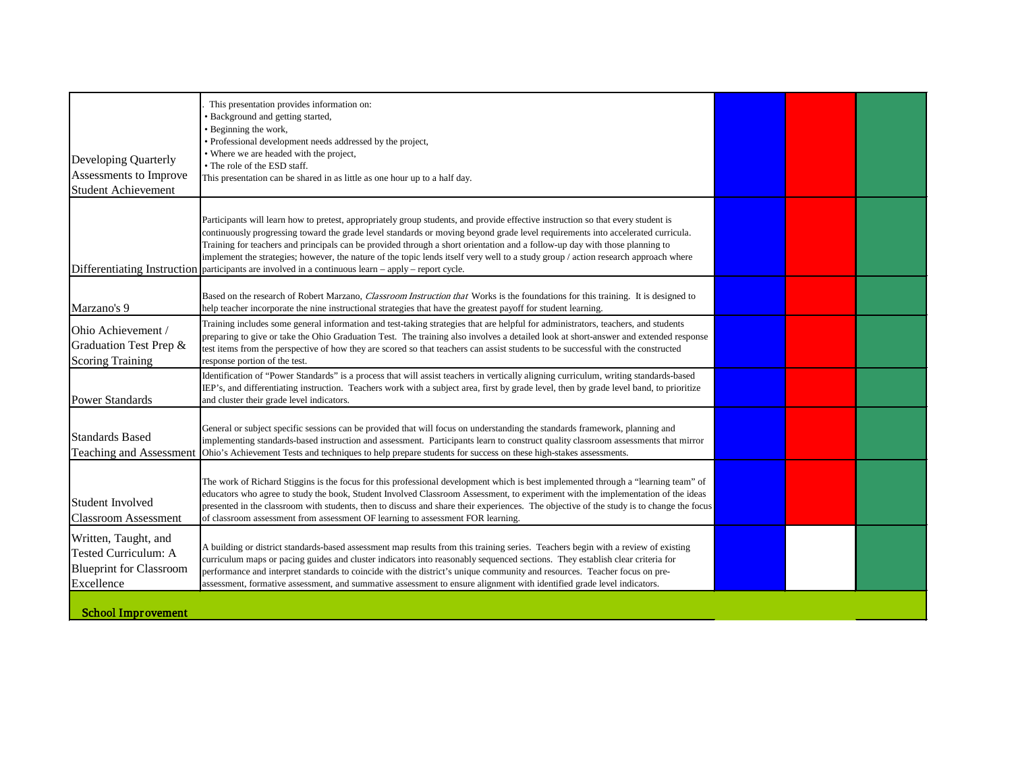| Developing Quarterly<br>Assessments to Improve<br><b>Student Achievement</b>                 | This presentation provides information on:<br>· Background and getting started,<br>• Beginning the work,<br>• Professional development needs addressed by the project,<br>• Where we are headed with the project,<br>• The role of the ESD staff.<br>This presentation can be shared in as little as one hour up to a half day.                                                                                                                                                                                                                                                                                                                  |  |  |
|----------------------------------------------------------------------------------------------|--------------------------------------------------------------------------------------------------------------------------------------------------------------------------------------------------------------------------------------------------------------------------------------------------------------------------------------------------------------------------------------------------------------------------------------------------------------------------------------------------------------------------------------------------------------------------------------------------------------------------------------------------|--|--|
|                                                                                              | Participants will learn how to pretest, appropriately group students, and provide effective instruction so that every student is<br>continuously progressing toward the grade level standards or moving beyond grade level requirements into accelerated curricula.<br>Training for teachers and principals can be provided through a short orientation and a follow-up day with those planning to<br>implement the strategies; however, the nature of the topic lends itself very well to a study group / action research approach where<br>Differentiating Instruction participants are involved in a continuous learn – apply – report cycle. |  |  |
| Marzano's 9                                                                                  | Based on the research of Robert Marzano, <i>Classroom Instruction that</i> Works is the foundations for this training. It is designed to<br>help teacher incorporate the nine instructional strategies that have the greatest payoff for student learning.                                                                                                                                                                                                                                                                                                                                                                                       |  |  |
| Ohio Achievement /<br>Graduation Test Prep &<br><b>Scoring Training</b>                      | Training includes some general information and test-taking strategies that are helpful for administrators, teachers, and students<br>preparing to give or take the Ohio Graduation Test. The training also involves a detailed look at short-answer and extended response<br>test items from the perspective of how they are scored so that teachers can assist students to be successful with the constructed<br>response portion of the test.                                                                                                                                                                                                  |  |  |
| <b>Power Standards</b>                                                                       | Identification of "Power Standards" is a process that will assist teachers in vertically aligning curriculum, writing standards-based<br>IEP's, and differentiating instruction. Teachers work with a subject area, first by grade level, then by grade level band, to prioritize<br>and cluster their grade level indicators.                                                                                                                                                                                                                                                                                                                   |  |  |
| <b>Standards Based</b><br><b>Teaching and Assessment</b>                                     | General or subject specific sessions can be provided that will focus on understanding the standards framework, planning and<br>implementing standards-based instruction and assessment. Participants learn to construct quality classroom assessments that mirror<br>Ohio's Achievement Tests and techniques to help prepare students for success on these high-stakes assessments.                                                                                                                                                                                                                                                              |  |  |
| Student Involved<br><b>Classroom Assessment</b>                                              | The work of Richard Stiggins is the focus for this professional development which is best implemented through a "learning team" of<br>educators who agree to study the book, Student Involved Classroom Assessment, to experiment with the implementation of the ideas<br>presented in the classroom with students, then to discuss and share their experiences. The objective of the study is to change the focus<br>of classroom assessment from assessment OF learning to assessment FOR learning.                                                                                                                                            |  |  |
| Written, Taught, and<br>Tested Curriculum: A<br><b>Blueprint for Classroom</b><br>Excellence | A building or district standards-based assessment map results from this training series. Teachers begin with a review of existing<br>curriculum maps or pacing guides and cluster indicators into reasonably sequenced sections. They establish clear criteria for<br>performance and interpret standards to coincide with the district's unique community and resources. Teacher focus on pre-<br>assessment, formative assessment, and summative assessment to ensure alignment with identified grade level indicators.                                                                                                                        |  |  |
| <b>School Improvement</b>                                                                    |                                                                                                                                                                                                                                                                                                                                                                                                                                                                                                                                                                                                                                                  |  |  |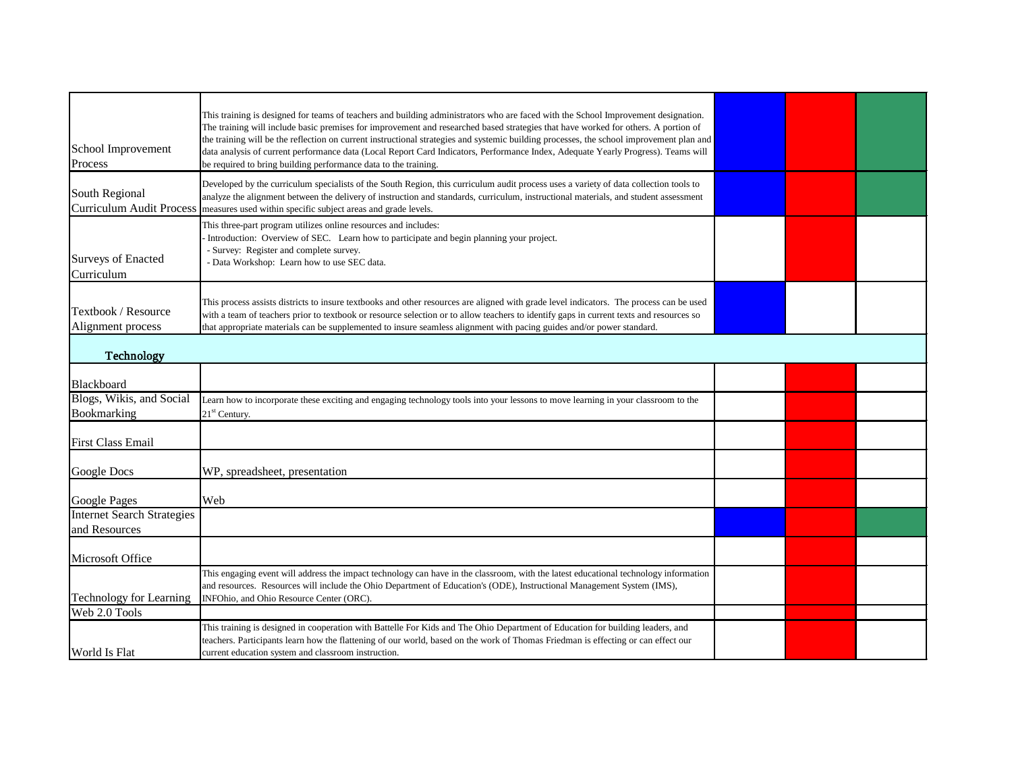| School Improvement<br>Process                      | This training is designed for teams of teachers and building administrators who are faced with the School Improvement designation.<br>The training will include basic premises for improvement and researched based strategies that have worked for others. A portion of<br>the training will be the reflection on current instructional strategies and systemic building processes, the school improvement plan and<br>data analysis of current performance data (Local Report Card Indicators, Performance Index, Adequate Yearly Progress). Teams will<br>be required to bring building performance data to the training. |  |  |
|----------------------------------------------------|------------------------------------------------------------------------------------------------------------------------------------------------------------------------------------------------------------------------------------------------------------------------------------------------------------------------------------------------------------------------------------------------------------------------------------------------------------------------------------------------------------------------------------------------------------------------------------------------------------------------------|--|--|
| South Regional<br><b>Curriculum Audit Process</b>  | Developed by the curriculum specialists of the South Region, this curriculum audit process uses a variety of data collection tools to<br>analyze the alignment between the delivery of instruction and standards, curriculum, instructional materials, and student assessment<br>measures used within specific subject areas and grade levels.                                                                                                                                                                                                                                                                               |  |  |
| <b>Surveys of Enacted</b><br>Curriculum            | This three-part program utilizes online resources and includes:<br>Introduction: Overview of SEC. Learn how to participate and begin planning your project.<br>- Survey: Register and complete survey.<br>- Data Workshop: Learn how to use SEC data.                                                                                                                                                                                                                                                                                                                                                                        |  |  |
| Textbook / Resource<br>Alignment process           | This process assists districts to insure textbooks and other resources are aligned with grade level indicators. The process can be used<br>with a team of teachers prior to textbook or resource selection or to allow teachers to identify gaps in current texts and resources so<br>that appropriate materials can be supplemented to insure seamless alignment with pacing guides and/or power standard.                                                                                                                                                                                                                  |  |  |
| Technology                                         |                                                                                                                                                                                                                                                                                                                                                                                                                                                                                                                                                                                                                              |  |  |
| Blackboard                                         |                                                                                                                                                                                                                                                                                                                                                                                                                                                                                                                                                                                                                              |  |  |
| Blogs, Wikis, and Social                           | Learn how to incorporate these exciting and engaging technology tools into your lessons to move learning in your classroom to the                                                                                                                                                                                                                                                                                                                                                                                                                                                                                            |  |  |
| Bookmarking                                        | 21 <sup>st</sup> Century.                                                                                                                                                                                                                                                                                                                                                                                                                                                                                                                                                                                                    |  |  |
| <b>First Class Email</b>                           |                                                                                                                                                                                                                                                                                                                                                                                                                                                                                                                                                                                                                              |  |  |
| Google Docs                                        | WP, spreadsheet, presentation                                                                                                                                                                                                                                                                                                                                                                                                                                                                                                                                                                                                |  |  |
| <b>Google Pages</b>                                | Web                                                                                                                                                                                                                                                                                                                                                                                                                                                                                                                                                                                                                          |  |  |
| <b>Internet Search Strategies</b><br>and Resources |                                                                                                                                                                                                                                                                                                                                                                                                                                                                                                                                                                                                                              |  |  |
| Microsoft Office                                   |                                                                                                                                                                                                                                                                                                                                                                                                                                                                                                                                                                                                                              |  |  |
| <b>Technology for Learning</b>                     | This engaging event will address the impact technology can have in the classroom, with the latest educational technology information<br>and resources. Resources will include the Ohio Department of Education's (ODE), Instructional Management System (IMS),<br>INFOhio, and Ohio Resource Center (ORC).                                                                                                                                                                                                                                                                                                                   |  |  |
| Web 2.0 Tools                                      |                                                                                                                                                                                                                                                                                                                                                                                                                                                                                                                                                                                                                              |  |  |
| World Is Flat                                      | This training is designed in cooperation with Battelle For Kids and The Ohio Department of Education for building leaders, and<br>teachers. Participants learn how the flattening of our world, based on the work of Thomas Friedman is effecting or can effect our<br>current education system and classroom instruction.                                                                                                                                                                                                                                                                                                   |  |  |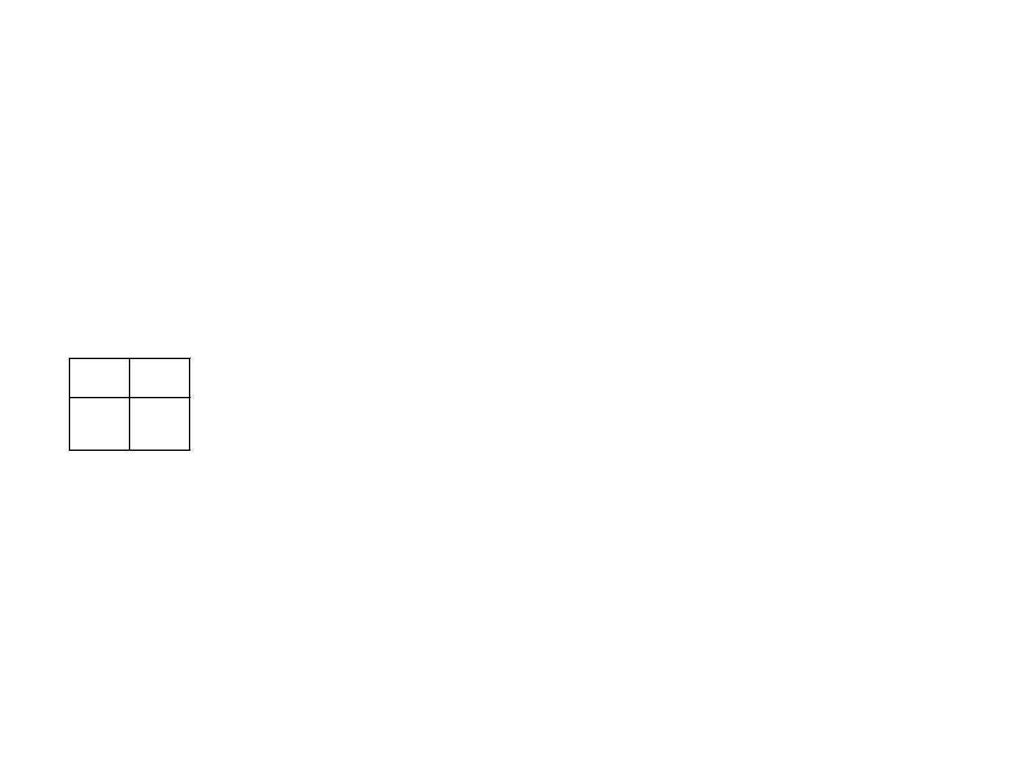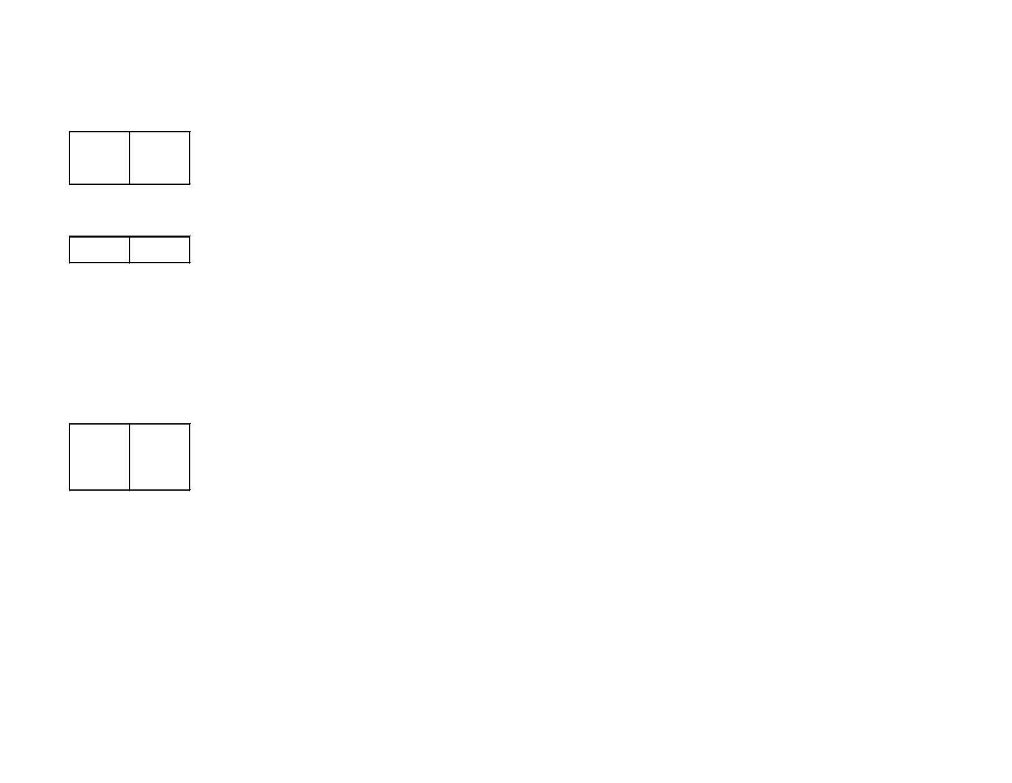



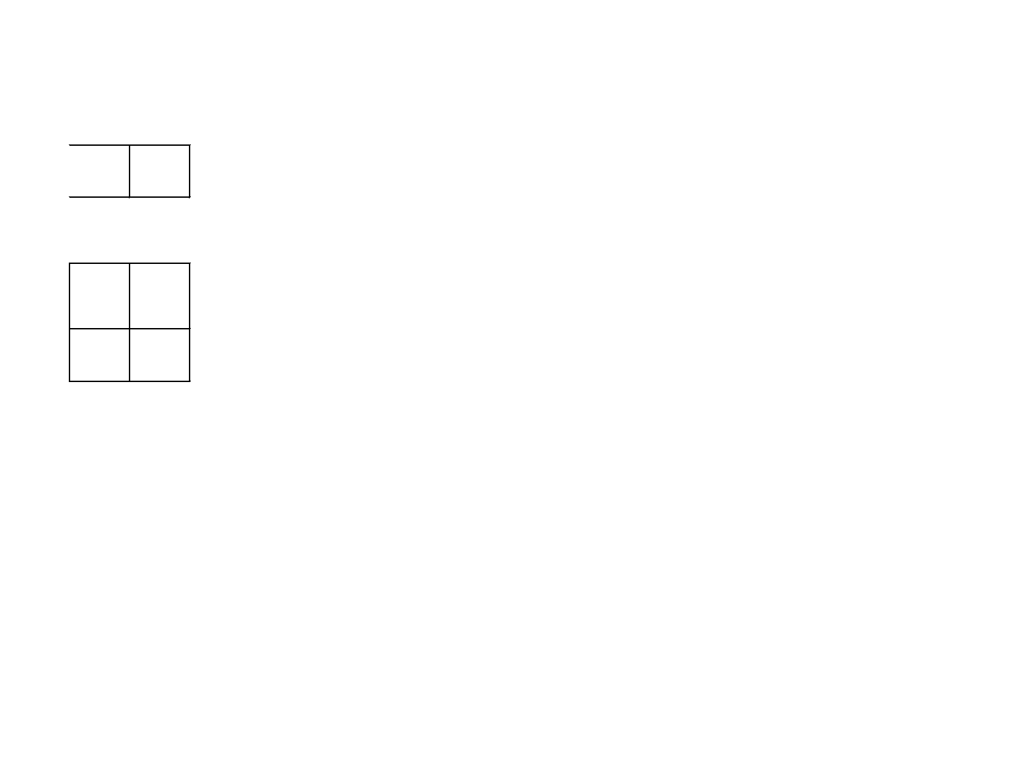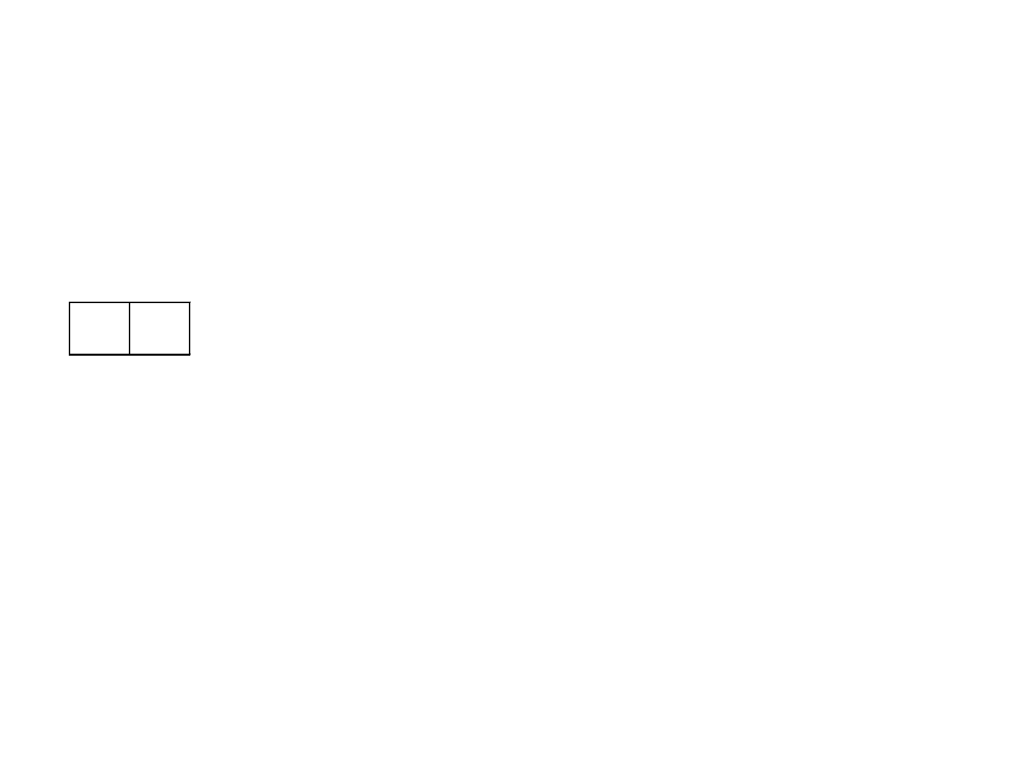